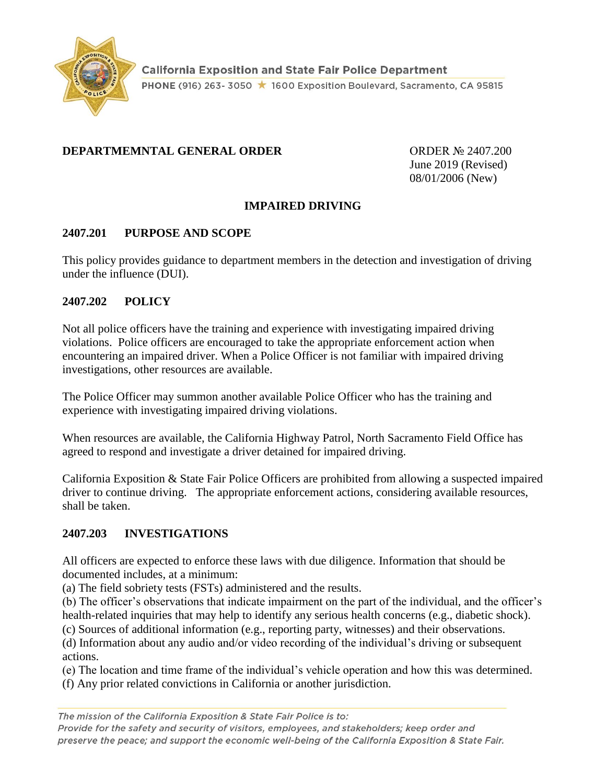

#### **DEPARTMEMNTAL GENERAL ORDER** ORDER ORDER Nº 2407.200

June 2019 (Revised) 08/01/2006 (New)

## **IMPAIRED DRIVING**

#### **2407.201 PURPOSE AND SCOPE**

This policy provides guidance to department members in the detection and investigation of driving under the influence (DUI).

#### **2407.202 POLICY**

Not all police officers have the training and experience with investigating impaired driving violations. Police officers are encouraged to take the appropriate enforcement action when encountering an impaired driver. When a Police Officer is not familiar with impaired driving investigations, other resources are available.

The Police Officer may summon another available Police Officer who has the training and experience with investigating impaired driving violations.

When resources are available, the California Highway Patrol, North Sacramento Field Office has agreed to respond and investigate a driver detained for impaired driving.

California Exposition & State Fair Police Officers are prohibited from allowing a suspected impaired driver to continue driving. The appropriate enforcement actions, considering available resources, shall be taken.

## **2407.203 INVESTIGATIONS**

All officers are expected to enforce these laws with due diligence. Information that should be documented includes, at a minimum:

(a) The field sobriety tests (FSTs) administered and the results.

(b) The officer's observations that indicate impairment on the part of the individual, and the officer's health-related inquiries that may help to identify any serious health concerns (e.g., diabetic shock).

(c) Sources of additional information (e.g., reporting party, witnesses) and their observations.

(d) Information about any audio and/or video recording of the individual's driving or subsequent actions.

(e) The location and time frame of the individual's vehicle operation and how this was determined.

(f) Any prior related convictions in California or another jurisdiction.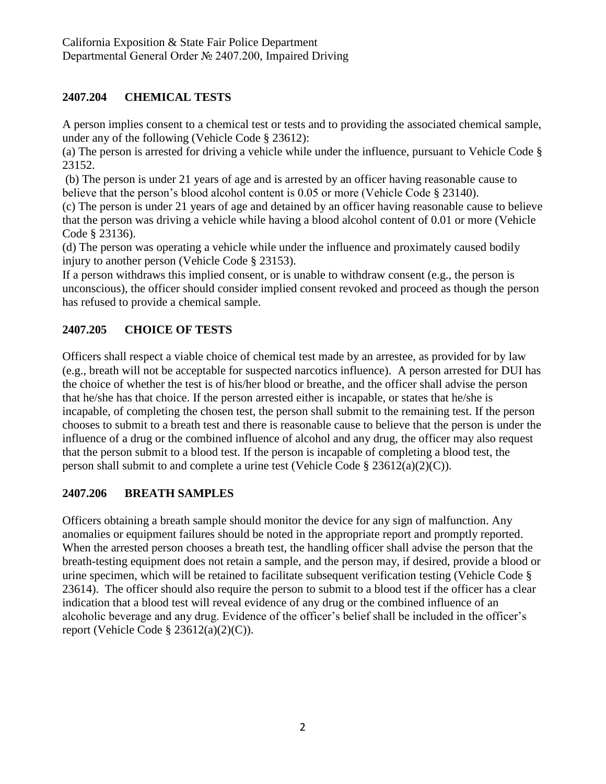# **2407.204 CHEMICAL TESTS**

A person implies consent to a chemical test or tests and to providing the associated chemical sample, under any of the following (Vehicle Code § 23612):

(a) The person is arrested for driving a vehicle while under the influence, pursuant to Vehicle Code § 23152.

(b) The person is under 21 years of age and is arrested by an officer having reasonable cause to believe that the person's blood alcohol content is 0.05 or more (Vehicle Code § 23140).

(c) The person is under 21 years of age and detained by an officer having reasonable cause to believe that the person was driving a vehicle while having a blood alcohol content of 0.01 or more (Vehicle Code § 23136).

(d) The person was operating a vehicle while under the influence and proximately caused bodily injury to another person (Vehicle Code § 23153).

If a person withdraws this implied consent, or is unable to withdraw consent (e.g., the person is unconscious), the officer should consider implied consent revoked and proceed as though the person has refused to provide a chemical sample.

# **2407.205 CHOICE OF TESTS**

Officers shall respect a viable choice of chemical test made by an arrestee, as provided for by law (e.g., breath will not be acceptable for suspected narcotics influence). A person arrested for DUI has the choice of whether the test is of his/her blood or breathe, and the officer shall advise the person that he/she has that choice. If the person arrested either is incapable, or states that he/she is incapable, of completing the chosen test, the person shall submit to the remaining test. If the person chooses to submit to a breath test and there is reasonable cause to believe that the person is under the influence of a drug or the combined influence of alcohol and any drug, the officer may also request that the person submit to a blood test. If the person is incapable of completing a blood test, the person shall submit to and complete a urine test (Vehicle Code  $\S 23612(a)(2)(C)$ ).

## **2407.206 BREATH SAMPLES**

Officers obtaining a breath sample should monitor the device for any sign of malfunction. Any anomalies or equipment failures should be noted in the appropriate report and promptly reported. When the arrested person chooses a breath test, the handling officer shall advise the person that the breath-testing equipment does not retain a sample, and the person may, if desired, provide a blood or urine specimen, which will be retained to facilitate subsequent verification testing (Vehicle Code § 23614). The officer should also require the person to submit to a blood test if the officer has a clear indication that a blood test will reveal evidence of any drug or the combined influence of an alcoholic beverage and any drug. Evidence of the officer's belief shall be included in the officer's report (Vehicle Code  $\S$  23612(a)(2)(C)).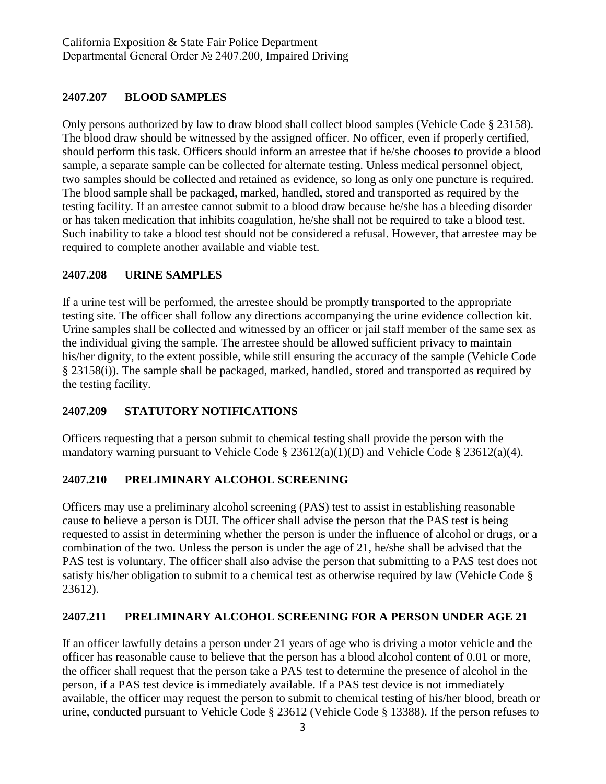## **2407.207 BLOOD SAMPLES**

Only persons authorized by law to draw blood shall collect blood samples (Vehicle Code § 23158). The blood draw should be witnessed by the assigned officer. No officer, even if properly certified, should perform this task. Officers should inform an arrestee that if he/she chooses to provide a blood sample, a separate sample can be collected for alternate testing. Unless medical personnel object, two samples should be collected and retained as evidence, so long as only one puncture is required. The blood sample shall be packaged, marked, handled, stored and transported as required by the testing facility. If an arrestee cannot submit to a blood draw because he/she has a bleeding disorder or has taken medication that inhibits coagulation, he/she shall not be required to take a blood test. Such inability to take a blood test should not be considered a refusal. However, that arrestee may be required to complete another available and viable test.

#### **2407.208 URINE SAMPLES**

If a urine test will be performed, the arrestee should be promptly transported to the appropriate testing site. The officer shall follow any directions accompanying the urine evidence collection kit. Urine samples shall be collected and witnessed by an officer or jail staff member of the same sex as the individual giving the sample. The arrestee should be allowed sufficient privacy to maintain his/her dignity, to the extent possible, while still ensuring the accuracy of the sample (Vehicle Code § 23158(i)). The sample shall be packaged, marked, handled, stored and transported as required by the testing facility.

## **2407.209 STATUTORY NOTIFICATIONS**

Officers requesting that a person submit to chemical testing shall provide the person with the mandatory warning pursuant to Vehicle Code § 23612(a)(1)(D) and Vehicle Code § 23612(a)(4).

## **2407.210 PRELIMINARY ALCOHOL SCREENING**

Officers may use a preliminary alcohol screening (PAS) test to assist in establishing reasonable cause to believe a person is DUI. The officer shall advise the person that the PAS test is being requested to assist in determining whether the person is under the influence of alcohol or drugs, or a combination of the two. Unless the person is under the age of 21, he/she shall be advised that the PAS test is voluntary. The officer shall also advise the person that submitting to a PAS test does not satisfy his/her obligation to submit to a chemical test as otherwise required by law (Vehicle Code § 23612).

## **2407.211 PRELIMINARY ALCOHOL SCREENING FOR A PERSON UNDER AGE 21**

If an officer lawfully detains a person under 21 years of age who is driving a motor vehicle and the officer has reasonable cause to believe that the person has a blood alcohol content of 0.01 or more, the officer shall request that the person take a PAS test to determine the presence of alcohol in the person, if a PAS test device is immediately available. If a PAS test device is not immediately available, the officer may request the person to submit to chemical testing of his/her blood, breath or urine, conducted pursuant to Vehicle Code § 23612 (Vehicle Code § 13388). If the person refuses to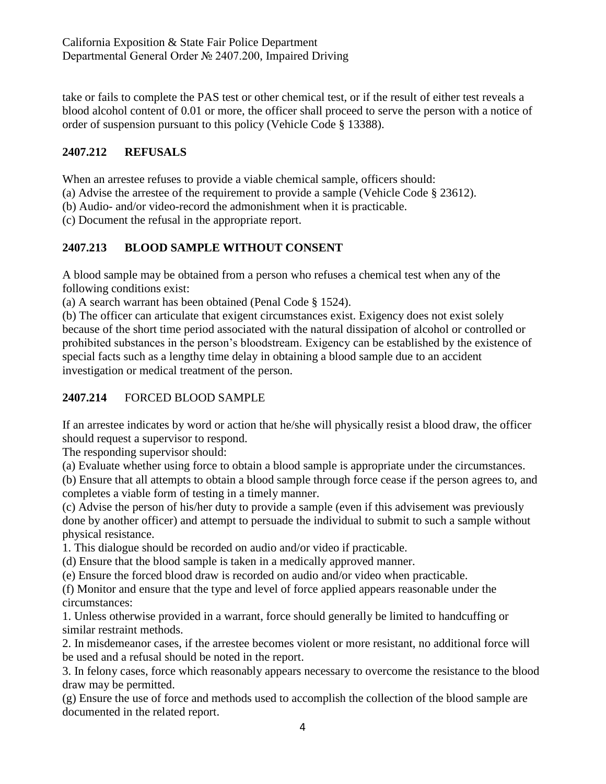take or fails to complete the PAS test or other chemical test, or if the result of either test reveals a blood alcohol content of 0.01 or more, the officer shall proceed to serve the person with a notice of order of suspension pursuant to this policy (Vehicle Code § 13388).

# **2407.212 REFUSALS**

When an arrestee refuses to provide a viable chemical sample, officers should:

- (a) Advise the arrestee of the requirement to provide a sample (Vehicle Code § 23612).
- (b) Audio- and/or video-record the admonishment when it is practicable.

(c) Document the refusal in the appropriate report.

# **2407.213 BLOOD SAMPLE WITHOUT CONSENT**

A blood sample may be obtained from a person who refuses a chemical test when any of the following conditions exist:

(a) A search warrant has been obtained (Penal Code § 1524).

(b) The officer can articulate that exigent circumstances exist. Exigency does not exist solely because of the short time period associated with the natural dissipation of alcohol or controlled or prohibited substances in the person's bloodstream. Exigency can be established by the existence of special facts such as a lengthy time delay in obtaining a blood sample due to an accident investigation or medical treatment of the person.

# **2407.214** FORCED BLOOD SAMPLE

If an arrestee indicates by word or action that he/she will physically resist a blood draw, the officer should request a supervisor to respond.

The responding supervisor should:

(a) Evaluate whether using force to obtain a blood sample is appropriate under the circumstances.

(b) Ensure that all attempts to obtain a blood sample through force cease if the person agrees to, and completes a viable form of testing in a timely manner.

(c) Advise the person of his/her duty to provide a sample (even if this advisement was previously done by another officer) and attempt to persuade the individual to submit to such a sample without physical resistance.

1. This dialogue should be recorded on audio and/or video if practicable.

(d) Ensure that the blood sample is taken in a medically approved manner.

(e) Ensure the forced blood draw is recorded on audio and/or video when practicable.

(f) Monitor and ensure that the type and level of force applied appears reasonable under the circumstances:

1. Unless otherwise provided in a warrant, force should generally be limited to handcuffing or similar restraint methods.

2. In misdemeanor cases, if the arrestee becomes violent or more resistant, no additional force will be used and a refusal should be noted in the report.

3. In felony cases, force which reasonably appears necessary to overcome the resistance to the blood draw may be permitted.

(g) Ensure the use of force and methods used to accomplish the collection of the blood sample are documented in the related report.